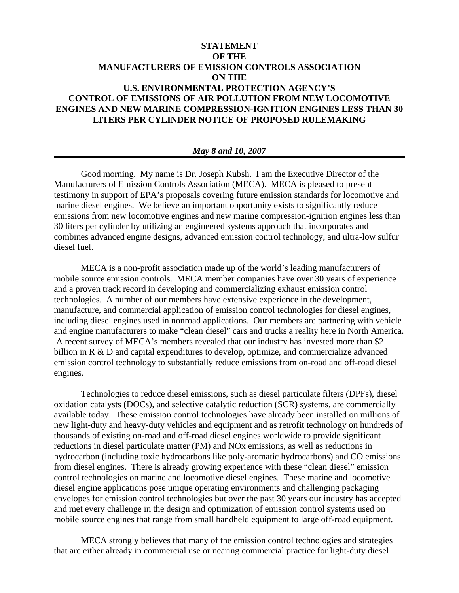## **STATEMENT OF THE MANUFACTURERS OF EMISSION CONTROLS ASSOCIATION ON THE U.S. ENVIRONMENTAL PROTECTION AGENCY'S CONTROL OF EMISSIONS OF AIR POLLUTION FROM NEW LOCOMOTIVE ENGINES AND NEW MARINE COMPRESSION-IGNITION ENGINES LESS THAN 30 LITERS PER CYLINDER NOTICE OF PROPOSED RULEMAKING**

## *May 8 and 10, 2007*

Good morning. My name is Dr. Joseph Kubsh. I am the Executive Director of the Manufacturers of Emission Controls Association (MECA). MECA is pleased to present testimony in support of EPA's proposals covering future emission standards for locomotive and marine diesel engines. We believe an important opportunity exists to significantly reduce emissions from new locomotive engines and new marine compression-ignition engines less than 30 liters per cylinder by utilizing an engineered systems approach that incorporates and combines advanced engine designs, advanced emission control technology, and ultra-low sulfur diesel fuel.

MECA is a non-profit association made up of the world's leading manufacturers of mobile source emission controls. MECA member companies have over 30 years of experience and a proven track record in developing and commercializing exhaust emission control technologies. A number of our members have extensive experience in the development, manufacture, and commercial application of emission control technologies for diesel engines, including diesel engines used in nonroad applications. Our members are partnering with vehicle and engine manufacturers to make "clean diesel" cars and trucks a reality here in North America. A recent survey of MECA's members revealed that our industry has invested more than \$2 billion in R & D and capital expenditures to develop, optimize, and commercialize advanced emission control technology to substantially reduce emissions from on-road and off-road diesel engines.

Technologies to reduce diesel emissions, such as diesel particulate filters (DPFs), diesel oxidation catalysts (DOCs), and selective catalytic reduction (SCR) systems, are commercially available today. These emission control technologies have already been installed on millions of new light-duty and heavy-duty vehicles and equipment and as retrofit technology on hundreds of thousands of existing on-road and off-road diesel engines worldwide to provide significant reductions in diesel particulate matter (PM) and NOx emissions, as well as reductions in hydrocarbon (including toxic hydrocarbons like poly-aromatic hydrocarbons) and CO emissions from diesel engines. There is already growing experience with these "clean diesel" emission control technologies on marine and locomotive diesel engines. These marine and locomotive diesel engine applications pose unique operating environments and challenging packaging envelopes for emission control technologies but over the past 30 years our industry has accepted and met every challenge in the design and optimization of emission control systems used on mobile source engines that range from small handheld equipment to large off-road equipment.

MECA strongly believes that many of the emission control technologies and strategies that are either already in commercial use or nearing commercial practice for light-duty diesel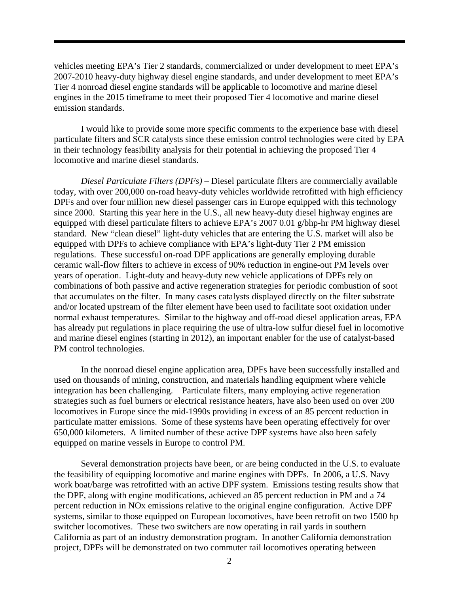vehicles meeting EPA's Tier 2 standards, commercialized or under development to meet EPA's 2007-2010 heavy-duty highway diesel engine standards, and under development to meet EPA's Tier 4 nonroad diesel engine standards will be applicable to locomotive and marine diesel engines in the 2015 timeframe to meet their proposed Tier 4 locomotive and marine diesel emission standards.

I would like to provide some more specific comments to the experience base with diesel particulate filters and SCR catalysts since these emission control technologies were cited by EPA in their technology feasibility analysis for their potential in achieving the proposed Tier 4 locomotive and marine diesel standards.

*Diesel Particulate Filters (DPFs) –* Diesel particulate filters are commercially available today, with over 200,000 on-road heavy-duty vehicles worldwide retrofitted with high efficiency DPFs and over four million new diesel passenger cars in Europe equipped with this technology since 2000. Starting this year here in the U.S., all new heavy-duty diesel highway engines are equipped with diesel particulate filters to achieve EPA's 2007 0.01 g/bhp-hr PM highway diesel standard. New "clean diesel" light-duty vehicles that are entering the U.S. market will also be equipped with DPFs to achieve compliance with EPA's light-duty Tier 2 PM emission regulations. These successful on-road DPF applications are generally employing durable ceramic wall-flow filters to achieve in excess of 90% reduction in engine-out PM levels over years of operation. Light-duty and heavy-duty new vehicle applications of DPFs rely on combinations of both passive and active regeneration strategies for periodic combustion of soot that accumulates on the filter. In many cases catalysts displayed directly on the filter substrate and/or located upstream of the filter element have been used to facilitate soot oxidation under normal exhaust temperatures. Similar to the highway and off-road diesel application areas, EPA has already put regulations in place requiring the use of ultra-low sulfur diesel fuel in locomotive and marine diesel engines (starting in 2012), an important enabler for the use of catalyst-based PM control technologies.

In the nonroad diesel engine application area, DPFs have been successfully installed and used on thousands of mining, construction, and materials handling equipment where vehicle integration has been challenging. Particulate filters, many employing active regeneration strategies such as fuel burners or electrical resistance heaters, have also been used on over 200 locomotives in Europe since the mid-1990s providing in excess of an 85 percent reduction in particulate matter emissions. Some of these systems have been operating effectively for over 650,000 kilometers. A limited number of these active DPF systems have also been safely equipped on marine vessels in Europe to control PM.

Several demonstration projects have been, or are being conducted in the U.S. to evaluate the feasibility of equipping locomotive and marine engines with DPFs. In 2006, a U.S. Navy work boat/barge was retrofitted with an active DPF system. Emissions testing results show that the DPF, along with engine modifications, achieved an 85 percent reduction in PM and a 74 percent reduction in NOx emissions relative to the original engine configuration. Active DPF systems, similar to those equipped on European locomotives, have been retrofit on two 1500 hp switcher locomotives. These two switchers are now operating in rail yards in southern California as part of an industry demonstration program. In another California demonstration project, DPFs will be demonstrated on two commuter rail locomotives operating between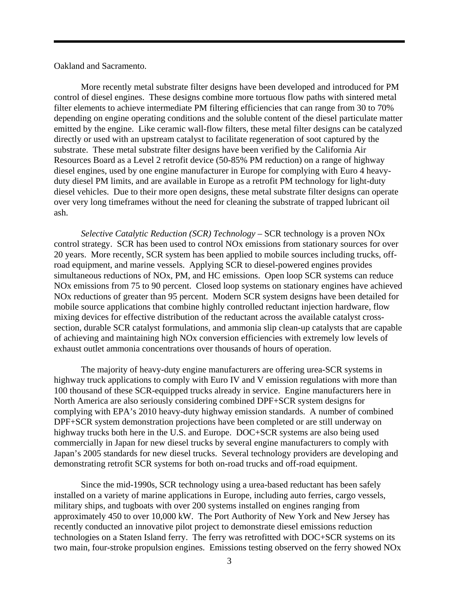Oakland and Sacramento.

More recently metal substrate filter designs have been developed and introduced for PM control of diesel engines. These designs combine more tortuous flow paths with sintered metal filter elements to achieve intermediate PM filtering efficiencies that can range from 30 to 70% depending on engine operating conditions and the soluble content of the diesel particulate matter emitted by the engine. Like ceramic wall-flow filters, these metal filter designs can be catalyzed directly or used with an upstream catalyst to facilitate regeneration of soot captured by the substrate. These metal substrate filter designs have been verified by the California Air Resources Board as a Level 2 retrofit device (50-85% PM reduction) on a range of highway diesel engines, used by one engine manufacturer in Europe for complying with Euro 4 heavyduty diesel PM limits, and are available in Europe as a retrofit PM technology for light-duty diesel vehicles. Due to their more open designs, these metal substrate filter designs can operate over very long timeframes without the need for cleaning the substrate of trapped lubricant oil ash.

*Selective Catalytic Reduction (SCR) Technology –* SCR technology is a proven NOx control strategy. SCR has been used to control NOx emissions from stationary sources for over 20 years. More recently, SCR system has been applied to mobile sources including trucks, offroad equipment, and marine vessels. Applying SCR to diesel-powered engines provides simultaneous reductions of NOx, PM, and HC emissions. Open loop SCR systems can reduce NOx emissions from 75 to 90 percent. Closed loop systems on stationary engines have achieved NOx reductions of greater than 95 percent. Modern SCR system designs have been detailed for mobile source applications that combine highly controlled reductant injection hardware, flow mixing devices for effective distribution of the reductant across the available catalyst crosssection, durable SCR catalyst formulations, and ammonia slip clean-up catalysts that are capable of achieving and maintaining high NOx conversion efficiencies with extremely low levels of exhaust outlet ammonia concentrations over thousands of hours of operation.

The majority of heavy-duty engine manufacturers are offering urea-SCR systems in highway truck applications to comply with Euro IV and V emission regulations with more than 100 thousand of these SCR-equipped trucks already in service. Engine manufacturers here in North America are also seriously considering combined DPF+SCR system designs for complying with EPA's 2010 heavy-duty highway emission standards. A number of combined DPF+SCR system demonstration projections have been completed or are still underway on highway trucks both here in the U.S. and Europe. DOC+SCR systems are also being used commercially in Japan for new diesel trucks by several engine manufacturers to comply with Japan's 2005 standards for new diesel trucks. Several technology providers are developing and demonstrating retrofit SCR systems for both on-road trucks and off-road equipment.

Since the mid-1990s, SCR technology using a urea-based reductant has been safely installed on a variety of marine applications in Europe, including auto ferries, cargo vessels, military ships, and tugboats with over 200 systems installed on engines ranging from approximately 450 to over 10,000 kW. The Port Authority of New York and New Jersey has recently conducted an innovative pilot project to demonstrate diesel emissions reduction technologies on a Staten Island ferry. The ferry was retrofitted with DOC+SCR systems on its two main, four-stroke propulsion engines. Emissions testing observed on the ferry showed NOx